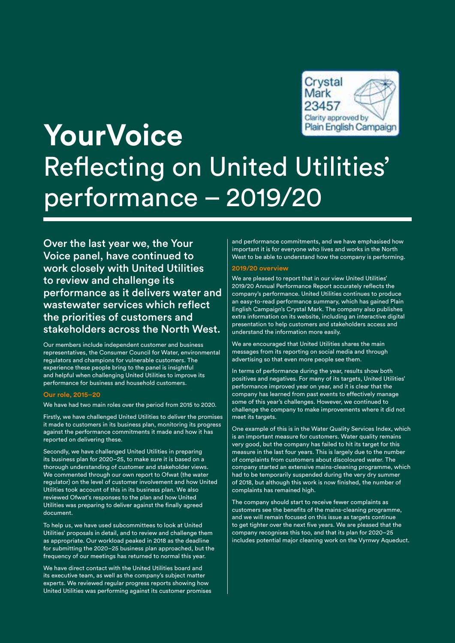

# **YourVoice**  Reflecting on United Utilities' performance – 2019/20

Over the last year we, the Your Voice panel, have continued to work closely with United Utilities to review and challenge its performance as it delivers water and wastewater services which reflect the priorities of customers and stakeholders across the North West.

Our members include independent customer and business representatives, the Consumer Council for Water, environmental regulators and champions for vulnerable customers. The experience these people bring to the panel is insightful and helpful when challenging United Utilities to improve its performance for business and household customers.

#### **Our role, 2015–20**

We have had two main roles over the period from 2015 to 2020.

Firstly, we have challenged United Utilities to deliver the promises it made to customers in its business plan, monitoring its progress against the performance commitments it made and how it has reported on delivering these.

Secondly, we have challenged United Utilities in preparing its business plan for 2020–25, to make sure it is based on a thorough understanding of customer and stakeholder views. We commented through our own report to Ofwat (the water regulator) on the level of customer involvement and how United Utilities took account of this in its business plan. We also reviewed Ofwat's responses to the plan and how United Utilities was preparing to deliver against the finally agreed document.

To help us, we have used subcommittees to look at United Utilities' proposals in detail, and to review and challenge them as appropriate. Our workload peaked in 2018 as the deadline for submitting the 2020–25 business plan approached, but the frequency of our meetings has returned to normal this year.

We have direct contact with the United Utilities board and its executive team, as well as the company's subject matter experts. We reviewed regular progress reports showing how United Utilities was performing against its customer promises and performance commitments, and we have emphasised how important it is for everyone who lives and works in the North West to be able to understand how the company is performing.

### **2019/20 overview**

We are pleased to report that in our view United Utilities' 2019/20 Annual Performance Report accurately reflects the company's performance. United Utilities continues to produce an easy-to-read performance summary, which has gained Plain English Campaign's Crystal Mark. The company also publishes extra information on its website, including an interactive digital presentation to help customers and stakeholders access and understand the information more easily.

We are encouraged that United Utilities shares the main messages from its reporting on social media and through advertising so that even more people see them.

In terms of performance during the year, results show both positives and negatives. For many of its targets, United Utilities' performance improved year on year, and it is clear that the company has learned from past events to effectively manage some of this year's challenges. However, we continued to challenge the company to make improvements where it did not meet its targets.

One example of this is in the Water Quality Services Index, which is an important measure for customers. Water quality remains very good, but the company has failed to hit its target for this measure in the last four years. This is largely due to the number of complaints from customers about discoloured water. The company started an extensive mains-cleaning programme, which had to be temporarily suspended during the very dry summer of 2018, but although this work is now finished, the number of complaints has remained high.

The company should start to receive fewer complaints as customers see the benefits of the mains-cleaning programme, and we will remain focused on this issue as targets continue to get tighter over the next five years. We are pleased that the company recognises this too, and that its plan for 2020–25 includes potential major cleaning work on the Vyrnwy Aqueduct.